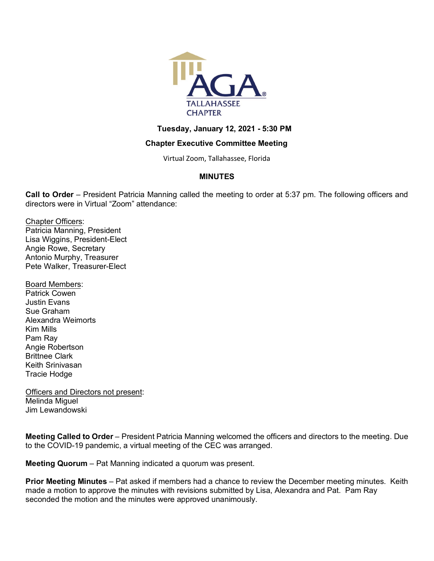

#### **Tuesday, January 12, 2021 - 5:30 PM**

## **Chapter Executive Committee Meeting**

Virtual Zoom, Tallahassee, Florida

## **MINUTES**

**Call to Order** – President Patricia Manning called the meeting to order at 5:37 pm. The following officers and directors were in Virtual "Zoom" attendance:

Chapter Officers: Patricia Manning, President Lisa Wiggins, President-Elect Angie Rowe, Secretary Antonio Murphy, Treasurer Pete Walker, Treasurer-Elect

Board Members: Patrick Cowen Justin Evans Sue Graham Alexandra Weimorts Kim Mills Pam Ray Angie Robertson Brittnee Clark Keith Srinivasan Tracie Hodge

Officers and Directors not present: Melinda Miguel Jim Lewandowski

**Meeting Called to Order** – President Patricia Manning welcomed the officers and directors to the meeting. Due to the COVID-19 pandemic, a virtual meeting of the CEC was arranged.

**Meeting Quorum** – Pat Manning indicated a quorum was present.

**Prior Meeting Minutes** – Pat asked if members had a chance to review the December meeting minutes. Keith made a motion to approve the minutes with revisions submitted by Lisa, Alexandra and Pat. Pam Ray seconded the motion and the minutes were approved unanimously.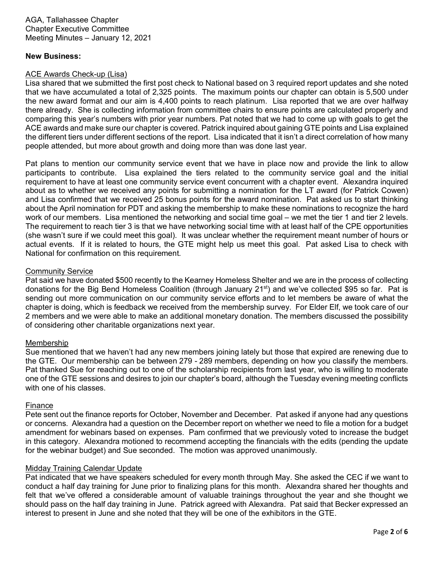#### **New Business:**

#### ACE Awards Check-up (Lisa)

Lisa shared that we submitted the first post check to National based on 3 required report updates and she noted that we have accumulated a total of 2,325 points. The maximum points our chapter can obtain is 5,500 under the new award format and our aim is 4,400 points to reach platinum. Lisa reported that we are over halfway there already. She is collecting information from committee chairs to ensure points are calculated properly and comparing this year's numbers with prior year numbers. Pat noted that we had to come up with goals to get the ACE awards and make sure our chapter is covered. Patrick inquired about gaining GTE points and Lisa explained the different tiers under different sections of the report. Lisa indicated that it isn't a direct correlation of how many people attended, but more about growth and doing more than was done last year.

Pat plans to mention our community service event that we have in place now and provide the link to allow participants to contribute. Lisa explained the tiers related to the community service goal and the initial requirement to have at least one community service event concurrent with a chapter event. Alexandra inquired about as to whether we received any points for submitting a nomination for the LT award (for Patrick Cowen) and Lisa confirmed that we received 25 bonus points for the award nomination. Pat asked us to start thinking about the April nomination for PDT and asking the membership to make these nominations to recognize the hard work of our members. Lisa mentioned the networking and social time goal – we met the tier 1 and tier 2 levels. The requirement to reach tier 3 is that we have networking social time with at least half of the CPE opportunities (she wasn't sure if we could meet this goal). It was unclear whether the requirement meant number of hours or actual events. If it is related to hours, the GTE might help us meet this goal. Pat asked Lisa to check with National for confirmation on this requirement.

#### Community Service

Pat said we have donated \$500 recently to the Kearney Homeless Shelter and we are in the process of collecting donations for the Big Bend Homeless Coalition (through January 21<sup>st</sup>) and we've collected \$95 so far. Pat is sending out more communication on our community service efforts and to let members be aware of what the chapter is doing, which is feedback we received from the membership survey. For Elder Elf, we took care of our 2 members and we were able to make an additional monetary donation. The members discussed the possibility of considering other charitable organizations next year.

#### Membership

Sue mentioned that we haven't had any new members joining lately but those that expired are renewing due to the GTE. Our membership can be between 279 - 289 members, depending on how you classify the members. Pat thanked Sue for reaching out to one of the scholarship recipients from last year, who is willing to moderate one of the GTE sessions and desires to join our chapter's board, although the Tuesday evening meeting conflicts with one of his classes.

#### Finance

Pete sent out the finance reports for October, November and December. Pat asked if anyone had any questions or concerns. Alexandra had a question on the December report on whether we need to file a motion for a budget amendment for webinars based on expenses. Pam confirmed that we previously voted to increase the budget in this category. Alexandra motioned to recommend accepting the financials with the edits (pending the update for the webinar budget) and Sue seconded. The motion was approved unanimously.

## Midday Training Calendar Update

Pat indicated that we have speakers scheduled for every month through May. She asked the CEC if we want to conduct a half day training for June prior to finalizing plans for this month. Alexandra shared her thoughts and felt that we've offered a considerable amount of valuable trainings throughout the year and she thought we should pass on the half day training in June. Patrick agreed with Alexandra. Pat said that Becker expressed an interest to present in June and she noted that they will be one of the exhibitors in the GTE.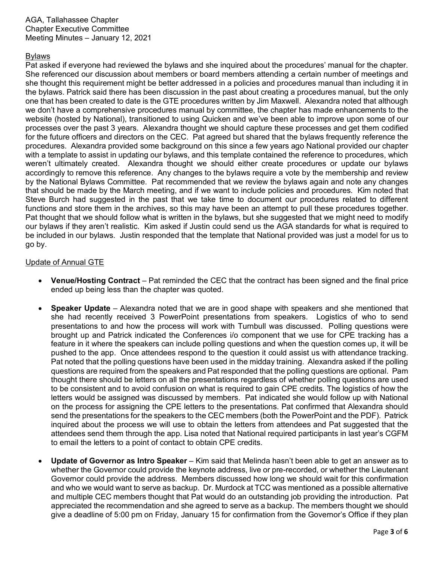# Bylaws

Pat asked if everyone had reviewed the bylaws and she inquired about the procedures' manual for the chapter. She referenced our discussion about members or board members attending a certain number of meetings and she thought this requirement might be better addressed in a policies and procedures manual than including it in the bylaws. Patrick said there has been discussion in the past about creating a procedures manual, but the only one that has been created to date is the GTE procedures written by Jim Maxwell. Alexandra noted that although we don't have a comprehensive procedures manual by committee, the chapter has made enhancements to the website (hosted by National), transitioned to using Quicken and we've been able to improve upon some of our processes over the past 3 years. Alexandra thought we should capture these processes and get them codified for the future officers and directors on the CEC. Pat agreed but shared that the bylaws frequently reference the procedures. Alexandra provided some background on this since a few years ago National provided our chapter with a template to assist in updating our bylaws, and this template contained the reference to procedures, which weren't ultimately created. Alexandra thought we should either create procedures or update our bylaws accordingly to remove this reference. Any changes to the bylaws require a vote by the membership and review by the National Bylaws Committee. Pat recommended that we review the bylaws again and note any changes that should be made by the March meeting, and if we want to include policies and procedures. Kim noted that Steve Burch had suggested in the past that we take time to document our procedures related to different functions and store them in the archives, so this may have been an attempt to pull these procedures together. Pat thought that we should follow what is written in the bylaws, but she suggested that we might need to modify our bylaws if they aren't realistic. Kim asked if Justin could send us the AGA standards for what is required to be included in our bylaws. Justin responded that the template that National provided was just a model for us to go by.

## Update of Annual GTE

- **Venue/Hosting Contract** Pat reminded the CEC that the contract has been signed and the final price ended up being less than the chapter was quoted.
- **Speaker Update** Alexandra noted that we are in good shape with speakers and she mentioned that she had recently received 3 PowerPoint presentations from speakers. Logistics of who to send presentations to and how the process will work with Turnbull was discussed. Polling questions were brought up and Patrick indicated the Conferences i/o component that we use for CPE tracking has a feature in it where the speakers can include polling questions and when the question comes up, it will be pushed to the app. Once attendees respond to the question it could assist us with attendance tracking. Pat noted that the polling questions have been used in the midday training. Alexandra asked if the polling questions are required from the speakers and Pat responded that the polling questions are optional. Pam thought there should be letters on all the presentations regardless of whether polling questions are used to be consistent and to avoid confusion on what is required to gain CPE credits. The logistics of how the letters would be assigned was discussed by members. Pat indicated she would follow up with National on the process for assigning the CPE letters to the presentations. Pat confirmed that Alexandra should send the presentations for the speakers to the CEC members (both the PowerPoint and the PDF). Patrick inquired about the process we will use to obtain the letters from attendees and Pat suggested that the attendees send them through the app. Lisa noted that National required participants in last year's CGFM to email the letters to a point of contact to obtain CPE credits.
- **Update of Governor as Intro Speaker** Kim said that Melinda hasn't been able to get an answer as to whether the Governor could provide the keynote address, live or pre-recorded, or whether the Lieutenant Governor could provide the address. Members discussed how long we should wait for this confirmation and who we would want to serve as backup. Dr. Murdock at TCC was mentioned as a possible alternative and multiple CEC members thought that Pat would do an outstanding job providing the introduction. Pat appreciated the recommendation and she agreed to serve as a backup. The members thought we should give a deadline of 5:00 pm on Friday, January 15 for confirmation from the Governor's Office if they plan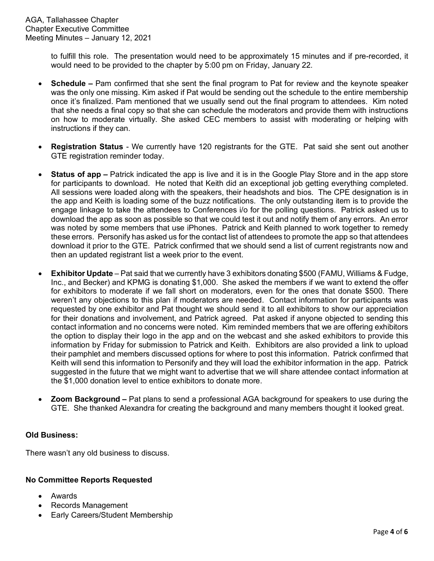to fulfill this role. The presentation would need to be approximately 15 minutes and if pre-recorded, it would need to be provided to the chapter by 5:00 pm on Friday, January 22.

- **Schedule –** Pam confirmed that she sent the final program to Pat for review and the keynote speaker was the only one missing. Kim asked if Pat would be sending out the schedule to the entire membership once it's finalized. Pam mentioned that we usually send out the final program to attendees. Kim noted that she needs a final copy so that she can schedule the moderators and provide them with instructions on how to moderate virtually. She asked CEC members to assist with moderating or helping with instructions if they can.
- **Registration Status** We currently have 120 registrants for the GTE. Pat said she sent out another GTE registration reminder today.
- **Status of app –** Patrick indicated the app is live and it is in the Google Play Store and in the app store for participants to download. He noted that Keith did an exceptional job getting everything completed. All sessions were loaded along with the speakers, their headshots and bios. The CPE designation is in the app and Keith is loading some of the buzz notifications. The only outstanding item is to provide the engage linkage to take the attendees to Conferences i/o for the polling questions. Patrick asked us to download the app as soon as possible so that we could test it out and notify them of any errors. An error was noted by some members that use iPhones. Patrick and Keith planned to work together to remedy these errors. Personify has asked us for the contact list of attendees to promote the app so that attendees download it prior to the GTE. Patrick confirmed that we should send a list of current registrants now and then an updated registrant list a week prior to the event.
- **Exhibitor Update** Pat said that we currently have 3 exhibitors donating \$500 (FAMU, Williams & Fudge, Inc., and Becker) and KPMG is donating \$1,000. She asked the members if we want to extend the offer for exhibitors to moderate if we fall short on moderators, even for the ones that donate \$500. There weren't any objections to this plan if moderators are needed. Contact information for participants was requested by one exhibitor and Pat thought we should send it to all exhibitors to show our appreciation for their donations and involvement, and Patrick agreed. Pat asked if anyone objected to sending this contact information and no concerns were noted. Kim reminded members that we are offering exhibitors the option to display their logo in the app and on the webcast and she asked exhibitors to provide this information by Friday for submission to Patrick and Keith. Exhibitors are also provided a link to upload their pamphlet and members discussed options for where to post this information. Patrick confirmed that Keith will send this information to Personify and they will load the exhibitor information in the app. Patrick suggested in the future that we might want to advertise that we will share attendee contact information at the \$1,000 donation level to entice exhibitors to donate more.
- **Zoom Background –** Pat plans to send a professional AGA background for speakers to use during the GTE. She thanked Alexandra for creating the background and many members thought it looked great.

## **Old Business:**

There wasn't any old business to discuss.

## **No Committee Reports Requested**

- Awards
- Records Management
- Early Careers/Student Membership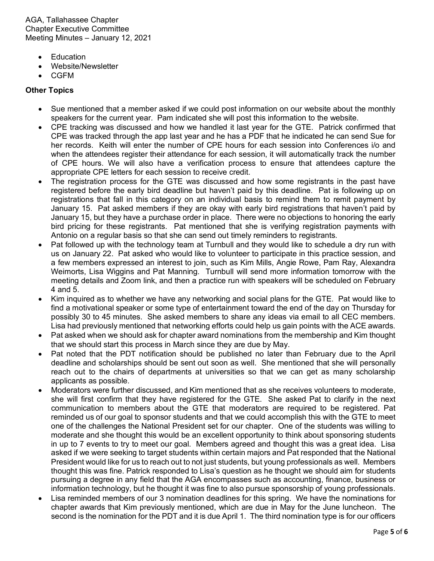AGA, Tallahassee Chapter Chapter Executive Committee Meeting Minutes – January 12, 2021

- Education
- Website/Newsletter
- CGFM

## **Other Topics**

- Sue mentioned that a member asked if we could post information on our website about the monthly speakers for the current year. Pam indicated she will post this information to the website.
- CPE tracking was discussed and how we handled it last year for the GTE. Patrick confirmed that CPE was tracked through the app last year and he has a PDF that he indicated he can send Sue for her records. Keith will enter the number of CPE hours for each session into Conferences i/o and when the attendees register their attendance for each session, it will automatically track the number of CPE hours. We will also have a verification process to ensure that attendees capture the appropriate CPE letters for each session to receive credit.
- The registration process for the GTE was discussed and how some registrants in the past have registered before the early bird deadline but haven't paid by this deadline. Pat is following up on registrations that fall in this category on an individual basis to remind them to remit payment by January 15. Pat asked members if they are okay with early bird registrations that haven't paid by January 15, but they have a purchase order in place. There were no objections to honoring the early bird pricing for these registrants. Pat mentioned that she is verifying registration payments with Antonio on a regular basis so that she can send out timely reminders to registrants.
- Pat followed up with the technology team at Turnbull and they would like to schedule a dry run with us on January 22. Pat asked who would like to volunteer to participate in this practice session, and a few members expressed an interest to join, such as Kim Mills, Angie Rowe, Pam Ray, Alexandra Weimorts, Lisa Wiggins and Pat Manning. Turnbull will send more information tomorrow with the meeting details and Zoom link, and then a practice run with speakers will be scheduled on February 4 and 5.
- Kim inquired as to whether we have any networking and social plans for the GTE. Pat would like to find a motivational speaker or some type of entertainment toward the end of the day on Thursday for possibly 30 to 45 minutes. She asked members to share any ideas via email to all CEC members. Lisa had previously mentioned that networking efforts could help us gain points with the ACE awards.
- Pat asked when we should ask for chapter award nominations from the membership and Kim thought that we should start this process in March since they are due by May.
- Pat noted that the PDT notification should be published no later than February due to the April deadline and scholarships should be sent out soon as well. She mentioned that she will personally reach out to the chairs of departments at universities so that we can get as many scholarship applicants as possible.
- Moderators were further discussed, and Kim mentioned that as she receives volunteers to moderate, she will first confirm that they have registered for the GTE. She asked Pat to clarify in the next communication to members about the GTE that moderators are required to be registered. Pat reminded us of our goal to sponsor students and that we could accomplish this with the GTE to meet one of the challenges the National President set for our chapter. One of the students was willing to moderate and she thought this would be an excellent opportunity to think about sponsoring students in up to 7 events to try to meet our goal. Members agreed and thought this was a great idea. Lisa asked if we were seeking to target students within certain majors and Pat responded that the National President would like for us to reach out to not just students, but young professionals as well. Members thought this was fine. Patrick responded to Lisa's question as he thought we should aim for students pursuing a degree in any field that the AGA encompasses such as accounting, finance, business or information technology, but he thought it was fine to also pursue sponsorship of young professionals.
- Lisa reminded members of our 3 nomination deadlines for this spring. We have the nominations for chapter awards that Kim previously mentioned, which are due in May for the June luncheon. The second is the nomination for the PDT and it is due April 1. The third nomination type is for our officers